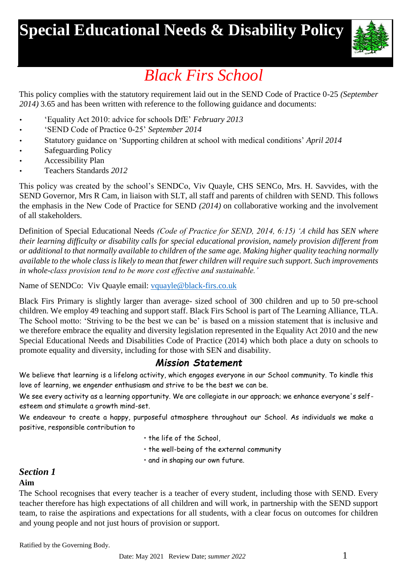# **Special Educational Needs & Disability Policy**



# *Black Firs School*

This policy complies with the statutory requirement laid out in the SEND Code of Practice 0-25 *(September 2014)* 3.65 and has been written with reference to the following guidance and documents:

- 'Equality Act 2010: advice for schools DfE' *February 2013*
- 'SEND Code of Practice 0-25' *September 2014*
- Statutory guidance on 'Supporting children at school with medical conditions' *April 2014*
- Safeguarding Policy
- Accessibility Plan
- Teachers Standards *2012*

This policy was created by the school's SENDCo, Viv Quayle, CHS SENCo, Mrs. H. Savvides, with the SEND Governor, Mrs R Cam, in liaison with SLT, all staff and parents of children with SEND. This follows the emphasis in the New Code of Practice for SEND *(2014)* on collaborative working and the involvement of all stakeholders.

Definition of Special Educational Needs *(Code of Practice for SEND, 2014, 6:15) 'A child has SEN where their learning difficulty or disability calls for special educational provision, namely provision different from or additional to that normally available to children of the same age. Making higher quality teaching normally available to the whole class is likely to mean that fewer children will require such support. Such improvements in whole-class provision tend to be more cost effective and sustainable.'*

Name of SENDCo: Viv Quayle email: [vquayle@black-firs.co.uk](mailto:vquayle@black-firs.co.uk)

Black Firs Primary is slightly larger than average- sized school of 300 children and up to 50 pre-school children. We employ 49 teaching and support staff. Black Firs School is part of The Learning Alliance, TLA. The School motto: 'Striving to be the best we can be' is based on a mission statement that is inclusive and we therefore embrace the equality and diversity legislation represented in the Equality Act 2010 and the new Special Educational Needs and Disabilities Code of Practice (2014) which both place a duty on schools to promote equality and diversity, including for those with SEN and disability.

# *Mission Statement*

We believe that learning is a lifelong activity, which engages everyone in our School community. To kindle this love of learning, we engender enthusiasm and strive to be the best we can be.

We see every activity as a learning opportunity. We are collegiate in our approach; we enhance everyone's selfesteem and stimulate a growth mind-set.

We endeavour to create a happy, purposeful atmosphere throughout our School. As individuals we make a positive, responsible contribution to

- the life of the School,
- the well-being of the external community
- and in shaping our own future.

## *Section 1*

#### **Aim**

The School recognises that every teacher is a teacher of every student, including those with SEND. Every teacher therefore has high expectations of all children and will work, in partnership with the SEND support team, to raise the aspirations and expectations for all students, with a clear focus on outcomes for children and young people and not just hours of provision or support.

Ratified by the Governing Body.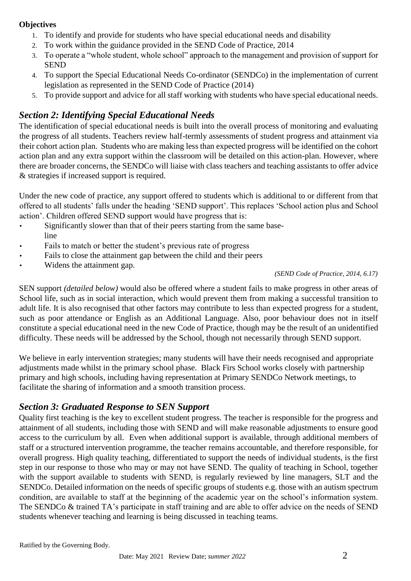#### **Objectives**

- 1. To identify and provide for students who have special educational needs and disability
- 2. To work within the guidance provided in the SEND Code of Practice, 2014
- 3. To operate a "whole student, whole school" approach to the management and provision of support for **SEND**
- 4. To support the Special Educational Needs Co-ordinator (SENDCo) in the implementation of current legislation as represented in the SEND Code of Practice (2014)
- 5. To provide support and advice for all staff working with students who have special educational needs.

## *Section 2: Identifying Special Educational Needs*

The identification of special educational needs is built into the overall process of monitoring and evaluating the progress of all students. Teachers review half-termly assessments of student progress and attainment via their cohort action plan. Students who are making less than expected progress will be identified on the cohort action plan and any extra support within the classroom will be detailed on this action-plan. However, where there are broader concerns, the SENDCo will liaise with class teachers and teaching assistants to offer advice & strategies if increased support is required.

Under the new code of practice, any support offered to students which is additional to or different from that offered to all students' falls under the heading 'SEND support'. This replaces 'School action plus and School action'. Children offered SEND support would have progress that is:

- Significantly slower than that of their peers starting from the same baseline
- Fails to match or better the student's previous rate of progress
- Fails to close the attainment gap between the child and their peers
- Widens the attainment gap.

#### *(SEND Code of Practice, 2014, 6.17)*

SEN support *(detailed below)* would also be offered where a student fails to make progress in other areas of School life, such as in social interaction, which would prevent them from making a successful transition to adult life. It is also recognised that other factors may contribute to less than expected progress for a student, such as poor attendance or English as an Additional Language. Also, poor behaviour does not in itself constitute a special educational need in the new Code of Practice, though may be the result of an unidentified difficulty. These needs will be addressed by the School, though not necessarily through SEND support.

We believe in early intervention strategies; many students will have their needs recognised and appropriate adjustments made whilst in the primary school phase. Black Firs School works closely with partnership primary and high schools, including having representation at Primary SENDCo Network meetings, to facilitate the sharing of information and a smooth transition process.

## *Section 3: Graduated Response to SEN Support*

Quality first teaching is the key to excellent student progress. The teacher is responsible for the progress and attainment of all students, including those with SEND and will make reasonable adjustments to ensure good access to the curriculum by all. Even when additional support is available, through additional members of staff or a structured intervention programme, the teacher remains accountable, and therefore responsible, for overall progress. High quality teaching, differentiated to support the needs of individual students, is the first step in our response to those who may or may not have SEND. The quality of teaching in School, together with the support available to students with SEND, is regularly reviewed by line managers, SLT and the SENDCo. Detailed information on the needs of specific groups of students e.g. those with an autism spectrum condition, are available to staff at the beginning of the academic year on the school's information system. The SENDCo & trained TA's participate in staff training and are able to offer advice on the needs of SEND students whenever teaching and learning is being discussed in teaching teams.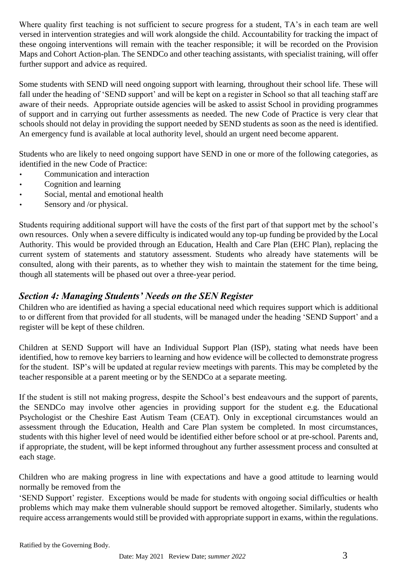Where quality first teaching is not sufficient to secure progress for a student, TA's in each team are well versed in intervention strategies and will work alongside the child. Accountability for tracking the impact of these ongoing interventions will remain with the teacher responsible; it will be recorded on the Provision Maps and Cohort Action-plan. The SENDCo and other teaching assistants, with specialist training, will offer further support and advice as required.

Some students with SEND will need ongoing support with learning, throughout their school life. These will fall under the heading of 'SEND support' and will be kept on a register in School so that all teaching staff are aware of their needs. Appropriate outside agencies will be asked to assist School in providing programmes of support and in carrying out further assessments as needed. The new Code of Practice is very clear that schools should not delay in providing the support needed by SEND students as soon as the need is identified. An emergency fund is available at local authority level, should an urgent need become apparent.

Students who are likely to need ongoing support have SEND in one or more of the following categories, as identified in the new Code of Practice:

- Communication and interaction
- Cognition and learning
- Social, mental and emotional health
- Sensory and /or physical.

Students requiring additional support will have the costs of the first part of that support met by the school's own resources. Only when a severe difficulty is indicated would any top-up funding be provided by the Local Authority. This would be provided through an Education, Health and Care Plan (EHC Plan), replacing the current system of statements and statutory assessment. Students who already have statements will be consulted, along with their parents, as to whether they wish to maintain the statement for the time being, though all statements will be phased out over a three-year period.

## *Section 4: Managing Students' Needs on the SEN Register*

Children who are identified as having a special educational need which requires support which is additional to or different from that provided for all students, will be managed under the heading 'SEND Support' and a register will be kept of these children.

Children at SEND Support will have an Individual Support Plan (ISP), stating what needs have been identified, how to remove key barriers to learning and how evidence will be collected to demonstrate progress for the student. ISP's will be updated at regular review meetings with parents. This may be completed by the teacher responsible at a parent meeting or by the SENDCo at a separate meeting.

If the student is still not making progress, despite the School's best endeavours and the support of parents, the SENDCo may involve other agencies in providing support for the student e.g. the Educational Psychologist or the Cheshire East Autism Team (CEAT). Only in exceptional circumstances would an assessment through the Education, Health and Care Plan system be completed. In most circumstances, students with this higher level of need would be identified either before school or at pre-school. Parents and, if appropriate, the student, will be kept informed throughout any further assessment process and consulted at each stage.

Children who are making progress in line with expectations and have a good attitude to learning would normally be removed from the

'SEND Support' register. Exceptions would be made for students with ongoing social difficulties or health problems which may make them vulnerable should support be removed altogether. Similarly, students who require access arrangements would still be provided with appropriate support in exams, within the regulations.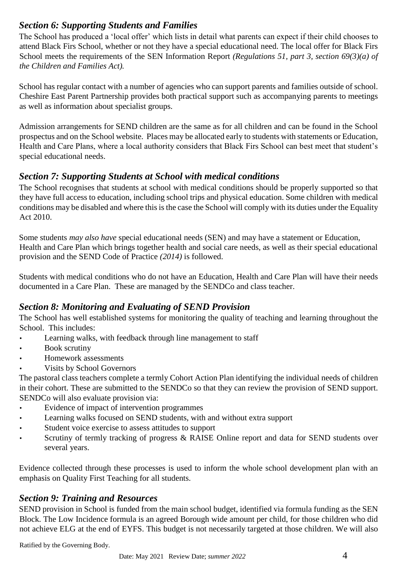# *Section 6: Supporting Students and Families*

The School has produced a 'local offer' which lists in detail what parents can expect if their child chooses to attend Black Firs School, whether or not they have a special educational need. The local offer for Black Firs School meets the requirements of the SEN Information Report *(Regulations 51, part 3, section 69(3)(a) of the Children and Families Act).*

School has regular contact with a number of agencies who can support parents and families outside of school. Cheshire East Parent Partnership provides both practical support such as accompanying parents to meetings as well as information about specialist groups.

Admission arrangements for SEND children are the same as for all children and can be found in the School prospectus and on the School website. Places may be allocated early to students with statements or Education, Health and Care Plans, where a local authority considers that Black Firs School can best meet that student's special educational needs.

# *Section 7: Supporting Students at School with medical conditions*

The School recognises that students at school with medical conditions should be properly supported so that they have full access to education, including school trips and physical education. Some children with medical conditions may be disabled and where this is the case the School will comply with its duties under the Equality Act 2010.

Some students *may also have* special educational needs (SEN) and may have a statement or Education, Health and Care Plan which brings together health and social care needs, as well as their special educational provision and the SEND Code of Practice *(2014)* is followed.

Students with medical conditions who do not have an Education, Health and Care Plan will have their needs documented in a Care Plan. These are managed by the SENDCo and class teacher.

# *Section 8: Monitoring and Evaluating of SEND Provision*

The School has well established systems for monitoring the quality of teaching and learning throughout the School. This includes:

- Learning walks, with feedback through line management to staff
- Book scrutiny
- Homework assessments
- Visits by School Governors

The pastoral class teachers complete a termly Cohort Action Plan identifying the individual needs of children in their cohort. These are submitted to the SENDCo so that they can review the provision of SEND support. SENDCo will also evaluate provision via:

- Evidence of impact of intervention programmes
- Learning walks focused on SEND students, with and without extra support
- Student voice exercise to assess attitudes to support
- Scrutiny of termly tracking of progress & RAISE Online report and data for SEND students over several years.

Evidence collected through these processes is used to inform the whole school development plan with an emphasis on Quality First Teaching for all students.

# *Section 9: Training and Resources*

SEND provision in School is funded from the main school budget, identified via formula funding as the SEN Block. The Low Incidence formula is an agreed Borough wide amount per child, for those children who did not achieve ELG at the end of EYFS. This budget is not necessarily targeted at those children. We will also

Ratified by the Governing Body.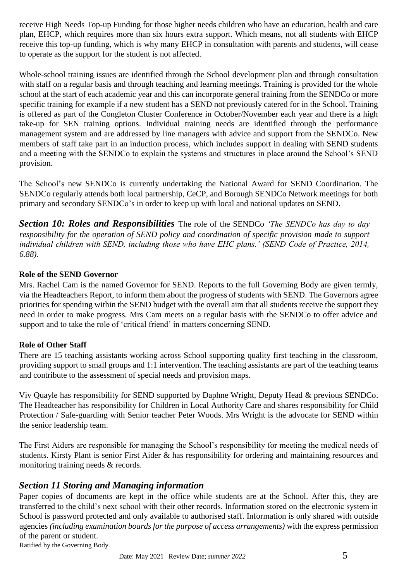receive High Needs Top-up Funding for those higher needs children who have an education, health and care plan, EHCP, which requires more than six hours extra support. Which means, not all students with EHCP receive this top-up funding, which is why many EHCP in consultation with parents and students, will cease to operate as the support for the student is not affected.

Whole-school training issues are identified through the School development plan and through consultation with staff on a regular basis and through teaching and learning meetings. Training is provided for the whole school at the start of each academic year and this can incorporate general training from the SENDCo or more specific training for example if a new student has a SEND not previously catered for in the School. Training is offered as part of the Congleton Cluster Conference in October/November each year and there is a high take-up for SEN training options. Individual training needs are identified through the performance management system and are addressed by line managers with advice and support from the SENDCo. New members of staff take part in an induction process, which includes support in dealing with SEND students and a meeting with the SENDCo to explain the systems and structures in place around the School's SEND provision.

The School's new SENDCo is currently undertaking the National Award for SEND Coordination. The SENDCo regularly attends both local partnership, CeCP, and Borough SENDCo Network meetings for both primary and secondary SENDCo's in order to keep up with local and national updates on SEND.

*Section 10: Roles and Responsibilities* The role of the SENDCo *'The SENDCo has day to day responsibility for the operation of SEND policy and coordination of specific provision made to support individual children with SEND, including those who have EHC plans.' (SEND Code of Practice, 2014, 6.88).* 

#### **Role of the SEND Governor**

Mrs. Rachel Cam is the named Governor for SEND. Reports to the full Governing Body are given termly, via the Headteachers Report, to inform them about the progress of students with SEND. The Governors agree priorities for spending within the SEND budget with the overall aim that all students receive the support they need in order to make progress. Mrs Cam meets on a regular basis with the SENDCo to offer advice and support and to take the role of 'critical friend' in matters concerning SEND.

#### **Role of Other Staff**

There are 15 teaching assistants working across School supporting quality first teaching in the classroom, providing support to small groups and 1:1 intervention. The teaching assistants are part of the teaching teams and contribute to the assessment of special needs and provision maps.

Viv Quayle has responsibility for SEND supported by Daphne Wright, Deputy Head & previous SENDCo. The Headteacher has responsibility for Children in Local Authority Care and shares responsibility for Child Protection / Safe-guarding with Senior teacher Peter Woods. Mrs Wright is the advocate for SEND within the senior leadership team.

The First Aiders are responsible for managing the School's responsibility for meeting the medical needs of students. Kirsty Plant is senior First Aider & has responsibility for ordering and maintaining resources and monitoring training needs & records.

## *Section 11 Storing and Managing information*

Paper copies of documents are kept in the office while students are at the School. After this, they are transferred to the child's next school with their other records. Information stored on the electronic system in School is password protected and only available to authorised staff. Information is only shared with outside agencies *(including examination boards for the purpose of access arrangements)* with the express permission of the parent or student.

Ratified by the Governing Body.